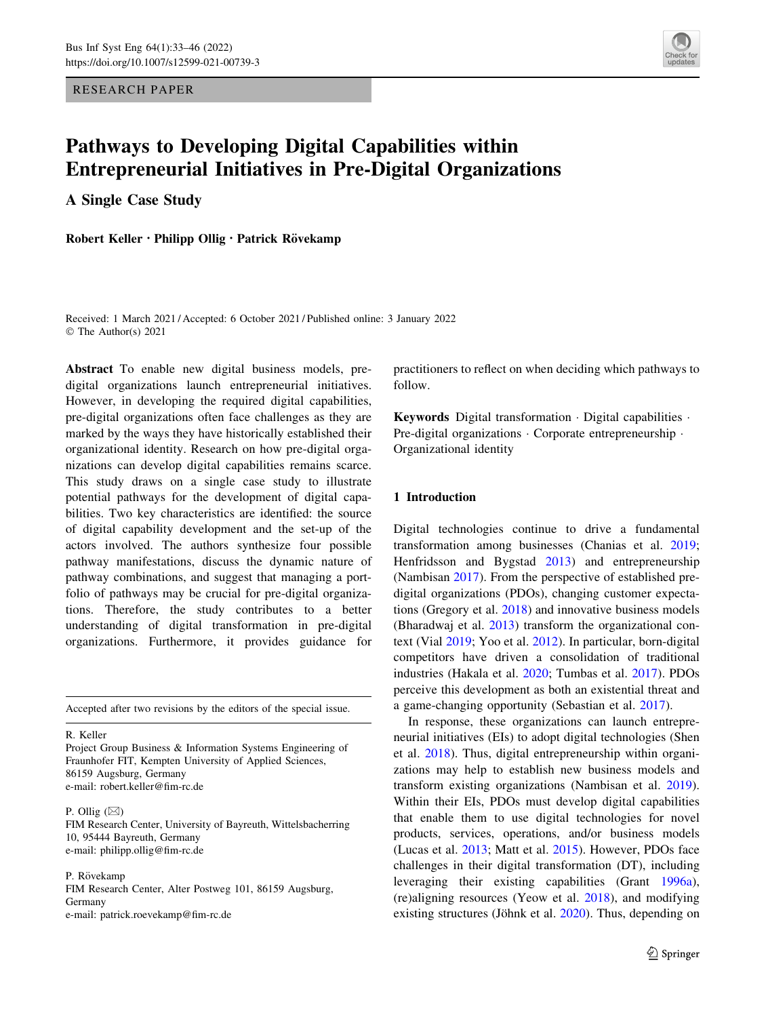RESEARCH PAPER



# Pathways to Developing Digital Capabilities within Entrepreneurial Initiatives in Pre-Digital Organizations

A Single Case Study

Robert Keller • Philipp Ollig • Patrick Rövekamp

Received: 1 March 2021 / Accepted: 6 October 2021 / Published online: 3 January 2022 © The Author(s) 2021

Abstract To enable new digital business models, predigital organizations launch entrepreneurial initiatives. However, in developing the required digital capabilities, pre-digital organizations often face challenges as they are marked by the ways they have historically established their organizational identity. Research on how pre-digital organizations can develop digital capabilities remains scarce. This study draws on a single case study to illustrate potential pathways for the development of digital capabilities. Two key characteristics are identified: the source of digital capability development and the set-up of the actors involved. The authors synthesize four possible pathway manifestations, discuss the dynamic nature of pathway combinations, and suggest that managing a portfolio of pathways may be crucial for pre-digital organizations. Therefore, the study contributes to a better understanding of digital transformation in pre-digital organizations. Furthermore, it provides guidance for

Accepted after two revisions by the editors of the special issue.

R. Keller

Project Group Business & Information Systems Engineering of Fraunhofer FIT, Kempten University of Applied Sciences, 86159 Augsburg, Germany e-mail: robert.keller@fim-rc.de

P. Ollig  $(\boxtimes)$ 

FIM Research Center, University of Bayreuth, Wittelsbacherring 10, 95444 Bayreuth, Germany e-mail: philipp.ollig@fim-rc.de

P. Rövekamp

FIM Research Center, Alter Postweg 101, 86159 Augsburg, Germany e-mail: patrick.roevekamp@fim-rc.de

practitioners to reflect on when deciding which pathways to follow.

Keywords Digital transformation - Digital capabilities - Pre-digital organizations · Corporate entrepreneurship · Organizational identity

## 1 Introduction

Digital technologies continue to drive a fundamental transformation among businesses (Chanias et al. [2019](#page-11-0); Henfridsson and Bygstad [2013](#page-12-0)) and entrepreneurship (Nambisan [2017\)](#page-12-0). From the perspective of established predigital organizations (PDOs), changing customer expectations (Gregory et al. [2018](#page-11-0)) and innovative business models (Bharadwaj et al. [2013](#page-11-0)) transform the organizational context (Vial [2019;](#page-13-0) Yoo et al. [2012](#page-13-0)). In particular, born-digital competitors have driven a consolidation of traditional industries (Hakala et al. [2020;](#page-11-0) Tumbas et al. [2017\)](#page-13-0). PDOs perceive this development as both an existential threat and a game-changing opportunity (Sebastian et al. [2017\)](#page-12-0).

In response, these organizations can launch entrepreneurial initiatives (EIs) to adopt digital technologies (Shen et al. [2018](#page-12-0)). Thus, digital entrepreneurship within organizations may help to establish new business models and transform existing organizations (Nambisan et al. [2019](#page-12-0)). Within their EIs, PDOs must develop digital capabilities that enable them to use digital technologies for novel products, services, operations, and/or business models (Lucas et al. [2013](#page-12-0); Matt et al. [2015\)](#page-12-0). However, PDOs face challenges in their digital transformation (DT), including leveraging their existing capabilities (Grant [1996a](#page-11-0)), (re)aligning resources (Yeow et al. [2018\)](#page-13-0), and modifying existing structures (Jöhnk et al. [2020\)](#page-12-0). Thus, depending on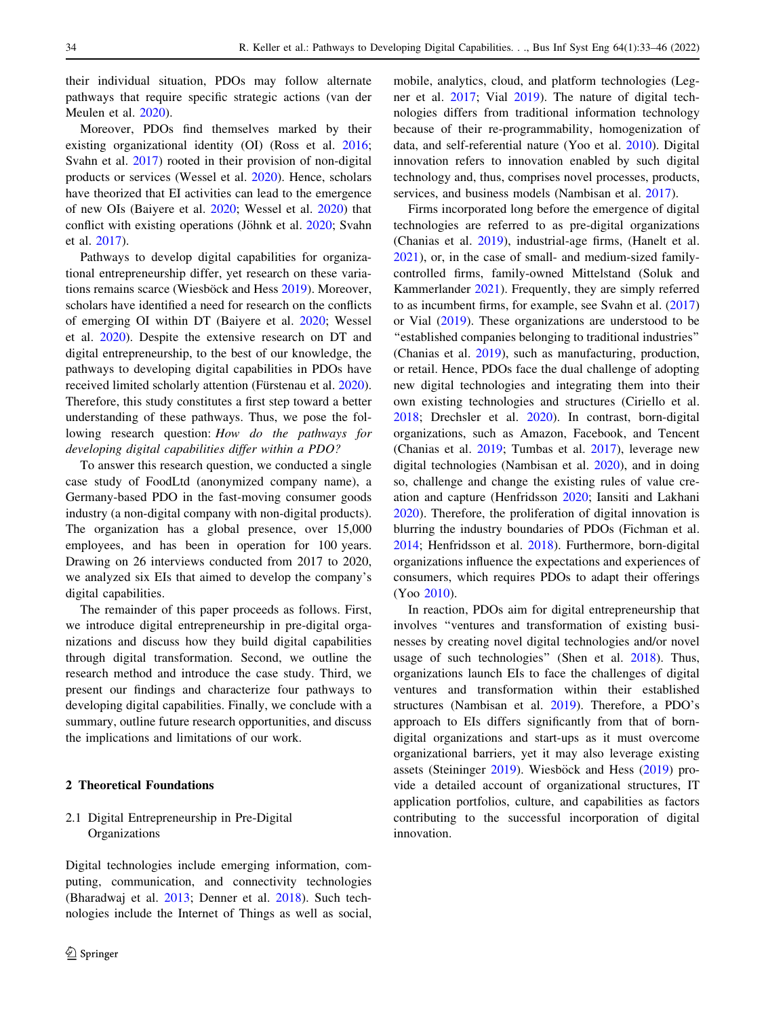their individual situation, PDOs may follow alternate pathways that require specific strategic actions (van der Meulen et al. [2020\)](#page-13-0).

Moreover, PDOs find themselves marked by their existing organizational identity (OI) (Ross et al. [2016](#page-12-0); Svahn et al. [2017](#page-12-0)) rooted in their provision of non-digital products or services (Wessel et al. [2020\)](#page-13-0). Hence, scholars have theorized that EI activities can lead to the emergence of new OIs (Baiyere et al. [2020;](#page-11-0) Wessel et al. [2020](#page-13-0)) that conflict with existing operations (Jöhnk et al. [2020](#page-12-0); Svahn et al. [2017\)](#page-12-0).

Pathways to develop digital capabilities for organizational entrepreneurship differ, yet research on these varia-tions remains scarce (Wiesböck and Hess [2019\)](#page-13-0). Moreover, scholars have identified a need for research on the conflicts of emerging OI within DT (Baiyere et al. [2020](#page-11-0); Wessel et al. [2020\)](#page-13-0). Despite the extensive research on DT and digital entrepreneurship, to the best of our knowledge, the pathways to developing digital capabilities in PDOs have received limited scholarly attention (Fürstenau et al. [2020](#page-11-0)). Therefore, this study constitutes a first step toward a better understanding of these pathways. Thus, we pose the following research question: How do the pathways for developing digital capabilities differ within a PDO?

To answer this research question, we conducted a single case study of FoodLtd (anonymized company name), a Germany-based PDO in the fast-moving consumer goods industry (a non-digital company with non-digital products). The organization has a global presence, over 15,000 employees, and has been in operation for 100 years. Drawing on 26 interviews conducted from 2017 to 2020, we analyzed six EIs that aimed to develop the company's digital capabilities.

The remainder of this paper proceeds as follows. First, we introduce digital entrepreneurship in pre-digital organizations and discuss how they build digital capabilities through digital transformation. Second, we outline the research method and introduce the case study. Third, we present our findings and characterize four pathways to developing digital capabilities. Finally, we conclude with a summary, outline future research opportunities, and discuss the implications and limitations of our work.

#### 2 Theoretical Foundations

# 2.1 Digital Entrepreneurship in Pre-Digital Organizations

Digital technologies include emerging information, computing, communication, and connectivity technologies (Bharadwaj et al. [2013;](#page-11-0) Denner et al. [2018\)](#page-11-0). Such technologies include the Internet of Things as well as social,

mobile, analytics, cloud, and platform technologies (Legner et al. [2017](#page-12-0); Vial [2019\)](#page-13-0). The nature of digital technologies differs from traditional information technology because of their re-programmability, homogenization of data, and self-referential nature (Yoo et al. [2010\)](#page-13-0). Digital innovation refers to innovation enabled by such digital technology and, thus, comprises novel processes, products, services, and business models (Nambisan et al. [2017](#page-12-0)).

Firms incorporated long before the emergence of digital technologies are referred to as pre-digital organizations (Chanias et al. [2019\)](#page-11-0), industrial-age firms, (Hanelt et al. [2021](#page-12-0)), or, in the case of small- and medium-sized familycontrolled firms, family-owned Mittelstand (Soluk and Kammerlander [2021](#page-12-0)). Frequently, they are simply referred to as incumbent firms, for example, see Svahn et al. ([2017\)](#page-12-0) or Vial ([2019\)](#page-13-0). These organizations are understood to be ''established companies belonging to traditional industries'' (Chanias et al. [2019\)](#page-11-0), such as manufacturing, production, or retail. Hence, PDOs face the dual challenge of adopting new digital technologies and integrating them into their own existing technologies and structures (Ciriello et al. [2018](#page-11-0); Drechsler et al. [2020\)](#page-11-0). In contrast, born-digital organizations, such as Amazon, Facebook, and Tencent (Chanias et al. [2019](#page-11-0); Tumbas et al. [2017\)](#page-13-0), leverage new digital technologies (Nambisan et al. [2020](#page-12-0)), and in doing so, challenge and change the existing rules of value creation and capture (Henfridsson [2020;](#page-12-0) Iansiti and Lakhani [2020](#page-12-0)). Therefore, the proliferation of digital innovation is blurring the industry boundaries of PDOs (Fichman et al. [2014](#page-11-0); Henfridsson et al. [2018\)](#page-12-0). Furthermore, born-digital organizations influence the expectations and experiences of consumers, which requires PDOs to adapt their offerings (Yoo [2010\)](#page-13-0).

In reaction, PDOs aim for digital entrepreneurship that involves ''ventures and transformation of existing businesses by creating novel digital technologies and/or novel usage of such technologies'' (Shen et al. [2018](#page-12-0)). Thus, organizations launch EIs to face the challenges of digital ventures and transformation within their established structures (Nambisan et al. [2019](#page-12-0)). Therefore, a PDO's approach to EIs differs significantly from that of borndigital organizations and start-ups as it must overcome organizational barriers, yet it may also leverage existing assets (Steininger [2019\)](#page-12-0). Wiesböck and Hess [\(2019](#page-13-0)) provide a detailed account of organizational structures, IT application portfolios, culture, and capabilities as factors contributing to the successful incorporation of digital innovation.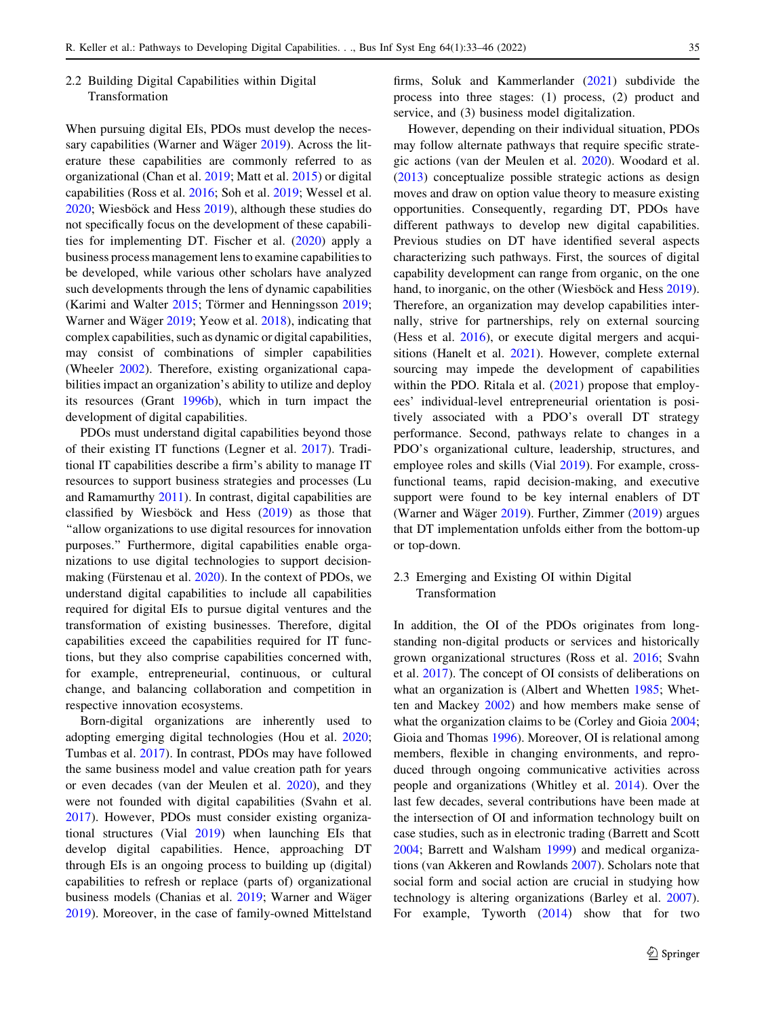# 2.2 Building Digital Capabilities within Digital Transformation

When pursuing digital EIs, PDOs must develop the neces-sary capabilities (Warner and Wäger [2019\)](#page-13-0). Across the literature these capabilities are commonly referred to as organizational (Chan et al. [2019](#page-11-0); Matt et al. [2015](#page-12-0)) or digital capabilities (Ross et al. [2016;](#page-12-0) Soh et al. [2019;](#page-12-0) Wessel et al.  $2020$ ; Wiesböck and Hess  $2019$ ), although these studies do not specifically focus on the development of these capabilities for implementing DT. Fischer et al. ([2020\)](#page-11-0) apply a business process management lens to examine capabilities to be developed, while various other scholars have analyzed such developments through the lens of dynamic capabilities (Karimi and Walter  $2015$ ; Törmer and Henningsson [2019](#page-12-0); Warner and Wäger [2019;](#page-13-0) Yeow et al. [2018](#page-13-0)), indicating that complex capabilities, such as dynamic or digital capabilities, may consist of combinations of simpler capabilities (Wheeler [2002\)](#page-13-0). Therefore, existing organizational capabilities impact an organization's ability to utilize and deploy its resources (Grant [1996b\)](#page-11-0), which in turn impact the development of digital capabilities.

PDOs must understand digital capabilities beyond those of their existing IT functions (Legner et al. [2017\)](#page-12-0). Traditional IT capabilities describe a firm's ability to manage IT resources to support business strategies and processes (Lu and Ramamurthy [2011](#page-12-0)). In contrast, digital capabilities are classified by Wiesböck and Hess  $(2019)$  $(2019)$  as those that ''allow organizations to use digital resources for innovation purposes.'' Furthermore, digital capabilities enable organizations to use digital technologies to support decision-making (Fürstenau et al. [2020](#page-11-0)). In the context of PDOs, we understand digital capabilities to include all capabilities required for digital EIs to pursue digital ventures and the transformation of existing businesses. Therefore, digital capabilities exceed the capabilities required for IT functions, but they also comprise capabilities concerned with, for example, entrepreneurial, continuous, or cultural change, and balancing collaboration and competition in respective innovation ecosystems.

Born-digital organizations are inherently used to adopting emerging digital technologies (Hou et al. [2020](#page-12-0); Tumbas et al. [2017\)](#page-13-0). In contrast, PDOs may have followed the same business model and value creation path for years or even decades (van der Meulen et al. [2020\)](#page-13-0), and they were not founded with digital capabilities (Svahn et al. [2017\)](#page-12-0). However, PDOs must consider existing organizational structures (Vial [2019\)](#page-13-0) when launching EIs that develop digital capabilities. Hence, approaching DT through EIs is an ongoing process to building up (digital) capabilities to refresh or replace (parts of) organizational business models (Chanias et al. [2019](#page-11-0); Warner and Wäger [2019\)](#page-13-0). Moreover, in the case of family-owned Mittelstand firms, Soluk and Kammerlander ([2021\)](#page-12-0) subdivide the process into three stages: (1) process, (2) product and service, and (3) business model digitalization.

However, depending on their individual situation, PDOs may follow alternate pathways that require specific strategic actions (van der Meulen et al. [2020](#page-13-0)). Woodard et al. [\(2013](#page-13-0)) conceptualize possible strategic actions as design moves and draw on option value theory to measure existing opportunities. Consequently, regarding DT, PDOs have different pathways to develop new digital capabilities. Previous studies on DT have identified several aspects characterizing such pathways. First, the sources of digital capability development can range from organic, on the one hand, to inorganic, on the other (Wiesböck and Hess [2019](#page-13-0)). Therefore, an organization may develop capabilities internally, strive for partnerships, rely on external sourcing (Hess et al. [2016\)](#page-12-0), or execute digital mergers and acquisitions (Hanelt et al. [2021\)](#page-12-0). However, complete external sourcing may impede the development of capabilities within the PDO. Ritala et al. ([2021\)](#page-12-0) propose that employees' individual-level entrepreneurial orientation is positively associated with a PDO's overall DT strategy performance. Second, pathways relate to changes in a PDO's organizational culture, leadership, structures, and employee roles and skills (Vial [2019](#page-13-0)). For example, crossfunctional teams, rapid decision-making, and executive support were found to be key internal enablers of DT (Warner and Wäger  $2019$ ). Further, Zimmer ([2019\)](#page-13-0) argues that DT implementation unfolds either from the bottom-up or top-down.

# 2.3 Emerging and Existing OI within Digital Transformation

In addition, the OI of the PDOs originates from longstanding non-digital products or services and historically grown organizational structures (Ross et al. [2016](#page-12-0); Svahn et al. [2017\)](#page-12-0). The concept of OI consists of deliberations on what an organization is (Albert and Whetten [1985;](#page-11-0) Whetten and Mackey [2002](#page-13-0)) and how members make sense of what the organization claims to be (Corley and Gioia [2004](#page-11-0); Gioia and Thomas [1996](#page-11-0)). Moreover, OI is relational among members, flexible in changing environments, and reproduced through ongoing communicative activities across people and organizations (Whitley et al. [2014](#page-13-0)). Over the last few decades, several contributions have been made at the intersection of OI and information technology built on case studies, such as in electronic trading (Barrett and Scott [2004](#page-11-0); Barrett and Walsham [1999\)](#page-11-0) and medical organizations (van Akkeren and Rowlands [2007](#page-13-0)). Scholars note that social form and social action are crucial in studying how technology is altering organizations (Barley et al. [2007](#page-11-0)). For example, Tyworth ([2014\)](#page-13-0) show that for two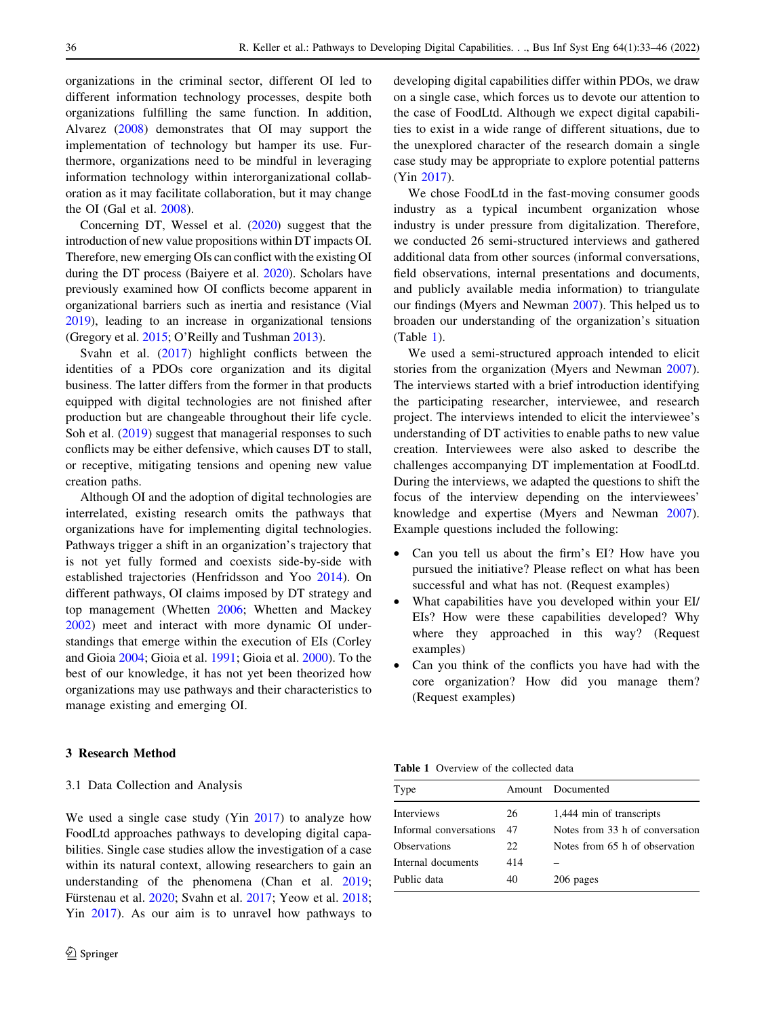organizations in the criminal sector, different OI led to different information technology processes, despite both organizations fulfilling the same function. In addition, Alvarez [\(2008](#page-11-0)) demonstrates that OI may support the implementation of technology but hamper its use. Furthermore, organizations need to be mindful in leveraging information technology within interorganizational collaboration as it may facilitate collaboration, but it may change the OI (Gal et al. [2008](#page-11-0)).

Concerning DT, Wessel et al. ([2020](#page-13-0)) suggest that the introduction of new value propositions within DT impacts OI. Therefore, new emerging OIs can conflict with the existing OI during the DT process (Baiyere et al. [2020](#page-11-0)). Scholars have previously examined how OI conflicts become apparent in organizational barriers such as inertia and resistance (Vial [2019\)](#page-13-0), leading to an increase in organizational tensions (Gregory et al. [2015](#page-11-0); O'Reilly and Tushman [2013\)](#page-12-0).

Svahn et al. ([2017\)](#page-12-0) highlight conflicts between the identities of a PDOs core organization and its digital business. The latter differs from the former in that products equipped with digital technologies are not finished after production but are changeable throughout their life cycle. Soh et al. [\(2019](#page-12-0)) suggest that managerial responses to such conflicts may be either defensive, which causes DT to stall, or receptive, mitigating tensions and opening new value creation paths.

Although OI and the adoption of digital technologies are interrelated, existing research omits the pathways that organizations have for implementing digital technologies. Pathways trigger a shift in an organization's trajectory that is not yet fully formed and coexists side-by-side with established trajectories (Henfridsson and Yoo [2014\)](#page-12-0). On different pathways, OI claims imposed by DT strategy and top management (Whetten [2006](#page-13-0); Whetten and Mackey [2002\)](#page-13-0) meet and interact with more dynamic OI understandings that emerge within the execution of EIs (Corley and Gioia [2004](#page-11-0); Gioia et al. [1991;](#page-11-0) Gioia et al. [2000](#page-11-0)). To the best of our knowledge, it has not yet been theorized how organizations may use pathways and their characteristics to manage existing and emerging OI.

## 3 Research Method

#### 3.1 Data Collection and Analysis

We used a single case study (Yin [2017\)](#page-13-0) to analyze how FoodLtd approaches pathways to developing digital capabilities. Single case studies allow the investigation of a case within its natural context, allowing researchers to gain an understanding of the phenomena (Chan et al. [2019](#page-11-0); Fürstenau et al. [2020;](#page-11-0) Svahn et al. [2017;](#page-12-0) Yeow et al. [2018](#page-13-0); Yin [2017](#page-13-0)). As our aim is to unravel how pathways to developing digital capabilities differ within PDOs, we draw on a single case, which forces us to devote our attention to the case of FoodLtd. Although we expect digital capabilities to exist in a wide range of different situations, due to the unexplored character of the research domain a single case study may be appropriate to explore potential patterns (Yin [2017\)](#page-13-0).

We chose FoodLtd in the fast-moving consumer goods industry as a typical incumbent organization whose industry is under pressure from digitalization. Therefore, we conducted 26 semi-structured interviews and gathered additional data from other sources (informal conversations, field observations, internal presentations and documents, and publicly available media information) to triangulate our findings (Myers and Newman [2007\)](#page-12-0). This helped us to broaden our understanding of the organization's situation (Table 1).

We used a semi-structured approach intended to elicit stories from the organization (Myers and Newman [2007](#page-12-0)). The interviews started with a brief introduction identifying the participating researcher, interviewee, and research project. The interviews intended to elicit the interviewee's understanding of DT activities to enable paths to new value creation. Interviewees were also asked to describe the challenges accompanying DT implementation at FoodLtd. During the interviews, we adapted the questions to shift the focus of the interview depending on the interviewees' knowledge and expertise (Myers and Newman [2007](#page-12-0)). Example questions included the following:

- Can you tell us about the firm's EI? How have you pursued the initiative? Please reflect on what has been successful and what has not. (Request examples)
- What capabilities have you developed within your EI/ EIs? How were these capabilities developed? Why where they approached in this way? (Request examples)
- Can you think of the conflicts you have had with the core organization? How did you manage them? (Request examples)

Table 1 Overview of the collected data

| Type                   |     | Amount Documented               |
|------------------------|-----|---------------------------------|
| <b>Interviews</b>      | 26  | 1,444 min of transcripts        |
| Informal conversations | 47  | Notes from 33 h of conversation |
| Observations           | 22  | Notes from 65 h of observation  |
| Internal documents     | 414 |                                 |
| Public data            | 40  | 206 pages                       |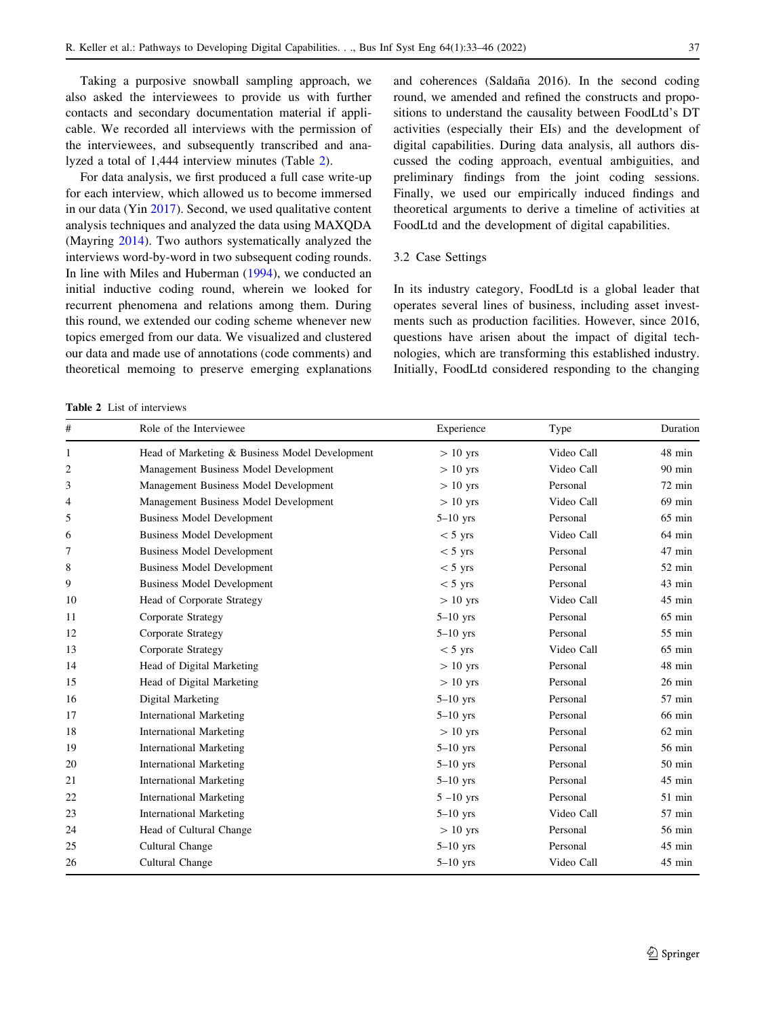Taking a purposive snowball sampling approach, we also asked the interviewees to provide us with further contacts and secondary documentation material if applicable. We recorded all interviews with the permission of the interviewees, and subsequently transcribed and analyzed a total of 1,444 interview minutes (Table 2).

For data analysis, we first produced a full case write-up for each interview, which allowed us to become immersed in our data (Yin [2017](#page-13-0)). Second, we used qualitative content analysis techniques and analyzed the data using MAXQDA (Mayring [2014](#page-12-0)). Two authors systematically analyzed the interviews word-by-word in two subsequent coding rounds. In line with Miles and Huberman [\(1994](#page-12-0)), we conducted an initial inductive coding round, wherein we looked for recurrent phenomena and relations among them. During this round, we extended our coding scheme whenever new topics emerged from our data. We visualized and clustered our data and made use of annotations (code comments) and theoretical memoing to preserve emerging explanations

Table 2 List of interviews

and coherences (Saldaña 2016). In the second coding round, we amended and refined the constructs and propositions to understand the causality between FoodLtd's DT activities (especially their EIs) and the development of digital capabilities. During data analysis, all authors discussed the coding approach, eventual ambiguities, and preliminary findings from the joint coding sessions. Finally, we used our empirically induced findings and theoretical arguments to derive a timeline of activities at FoodLtd and the development of digital capabilities.

## 3.2 Case Settings

In its industry category, FoodLtd is a global leader that operates several lines of business, including asset investments such as production facilities. However, since 2016, questions have arisen about the impact of digital technologies, which are transforming this established industry. Initially, FoodLtd considered responding to the changing

| #  | Role of the Interviewee                        | Experience   | Type       | Duration         |
|----|------------------------------------------------|--------------|------------|------------------|
| 1  | Head of Marketing & Business Model Development | $> 10$ yrs   | Video Call | 48 min           |
| 2  | Management Business Model Development          | $> 10$ yrs   | Video Call | $90$ min         |
| 3  | Management Business Model Development          | $> 10$ yrs   | Personal   | $72 \text{ min}$ |
| 4  | Management Business Model Development          | $> 10$ yrs   | Video Call | $69$ min         |
| 5  | <b>Business Model Development</b>              | $5-10$ yrs   | Personal   | $65 \text{ min}$ |
| 6  | <b>Business Model Development</b>              | $<$ 5 yrs    | Video Call | $64 \text{ min}$ |
| 7  | <b>Business Model Development</b>              | $<$ 5 yrs    | Personal   | $47$ min         |
| 8  | <b>Business Model Development</b>              | $<$ 5 yrs    | Personal   | $52 \text{ min}$ |
| 9  | <b>Business Model Development</b>              | $< 5$ yrs    | Personal   | 43 min           |
| 10 | Head of Corporate Strategy                     | $> 10$ yrs   | Video Call | 45 min           |
| 11 | Corporate Strategy                             | $5-10$ yrs   | Personal   | $65 \text{ min}$ |
| 12 | Corporate Strategy                             | $5-10$ yrs   | Personal   | $55 \text{ min}$ |
| 13 | Corporate Strategy                             | $< 5$ yrs    | Video Call | $65$ min         |
| 14 | Head of Digital Marketing                      | $> 10$ yrs   | Personal   | 48 min           |
| 15 | Head of Digital Marketing                      | $> 10$ yrs   | Personal   | $26$ min         |
| 16 | Digital Marketing                              | $5-10$ yrs   | Personal   | 57 min           |
| 17 | <b>International Marketing</b>                 | $5-10$ yrs   | Personal   | 66 min           |
| 18 | <b>International Marketing</b>                 | $> 10$ yrs   | Personal   | $62$ min         |
| 19 | <b>International Marketing</b>                 | $5-10$ yrs   | Personal   | 56 min           |
| 20 | <b>International Marketing</b>                 | $5-10$ yrs   | Personal   | $50 \text{ min}$ |
| 21 | <b>International Marketing</b>                 | $5-10$ yrs   | Personal   | 45 min           |
| 22 | <b>International Marketing</b>                 | $5 - 10$ yrs | Personal   | $51$ min         |
| 23 | <b>International Marketing</b>                 | $5-10$ yrs   | Video Call | $57$ min         |
| 24 | Head of Cultural Change                        | $> 10$ yrs   | Personal   | 56 min           |
| 25 | Cultural Change                                | $5-10$ yrs   | Personal   | 45 min           |
| 26 | Cultural Change                                | $5-10$ yrs   | Video Call | 45 min           |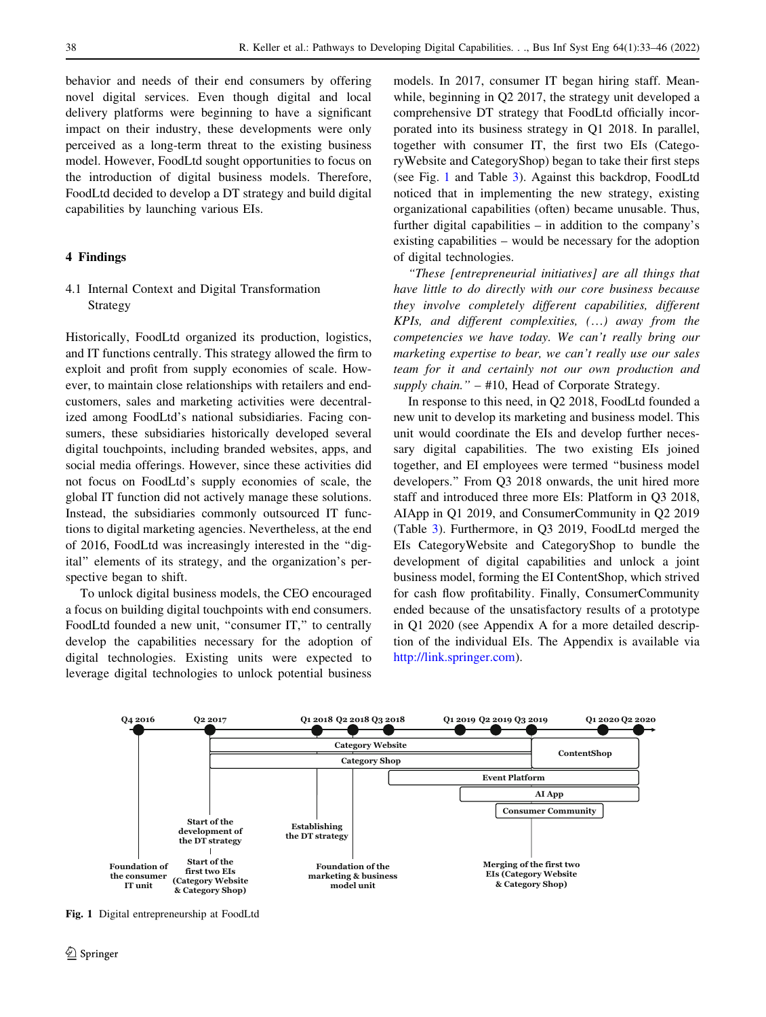behavior and needs of their end consumers by offering novel digital services. Even though digital and local delivery platforms were beginning to have a significant impact on their industry, these developments were only perceived as a long-term threat to the existing business model. However, FoodLtd sought opportunities to focus on the introduction of digital business models. Therefore, FoodLtd decided to develop a DT strategy and build digital capabilities by launching various EIs.

## 4 Findings

4.1 Internal Context and Digital Transformation Strategy

Historically, FoodLtd organized its production, logistics, and IT functions centrally. This strategy allowed the firm to exploit and profit from supply economies of scale. However, to maintain close relationships with retailers and endcustomers, sales and marketing activities were decentralized among FoodLtd's national subsidiaries. Facing consumers, these subsidiaries historically developed several digital touchpoints, including branded websites, apps, and social media offerings. However, since these activities did not focus on FoodLtd's supply economies of scale, the global IT function did not actively manage these solutions. Instead, the subsidiaries commonly outsourced IT functions to digital marketing agencies. Nevertheless, at the end of 2016, FoodLtd was increasingly interested in the ''digital'' elements of its strategy, and the organization's perspective began to shift.

To unlock digital business models, the CEO encouraged a focus on building digital touchpoints with end consumers. FoodLtd founded a new unit, "consumer IT," to centrally develop the capabilities necessary for the adoption of digital technologies. Existing units were expected to leverage digital technologies to unlock potential business

models. In 2017, consumer IT began hiring staff. Meanwhile, beginning in Q2 2017, the strategy unit developed a comprehensive DT strategy that FoodLtd officially incorporated into its business strategy in Q1 2018. In parallel, together with consumer IT, the first two EIs (CategoryWebsite and CategoryShop) began to take their first steps (see Fig. 1 and Table [3\)](#page-6-0). Against this backdrop, FoodLtd noticed that in implementing the new strategy, existing organizational capabilities (often) became unusable. Thus, further digital capabilities – in addition to the company's existing capabilities – would be necessary for the adoption of digital technologies.

''These [entrepreneurial initiatives] are all things that have little to do directly with our core business because they involve completely different capabilities, different KPIs, and different complexities, (…) away from the competencies we have today. We can't really bring our marketing expertise to bear, we can't really use our sales team for it and certainly not our own production and supply chain." – #10, Head of Corporate Strategy.

In response to this need, in Q2 2018, FoodLtd founded a new unit to develop its marketing and business model. This unit would coordinate the EIs and develop further necessary digital capabilities. The two existing EIs joined together, and EI employees were termed ''business model developers.'' From Q3 2018 onwards, the unit hired more staff and introduced three more EIs: Platform in Q3 2018, AIApp in Q1 2019, and ConsumerCommunity in Q2 2019 (Table [3](#page-6-0)). Furthermore, in Q3 2019, FoodLtd merged the EIs CategoryWebsite and CategoryShop to bundle the development of digital capabilities and unlock a joint business model, forming the EI ContentShop, which strived for cash flow profitability. Finally, ConsumerCommunity ended because of the unsatisfactory results of a prototype in Q1 2020 (see Appendix A for a more detailed description of the individual EIs. The Appendix is available via [http://link.springer.com\)](http://link.springer.com).



Fig. 1 Digital entrepreneurship at FoodLtd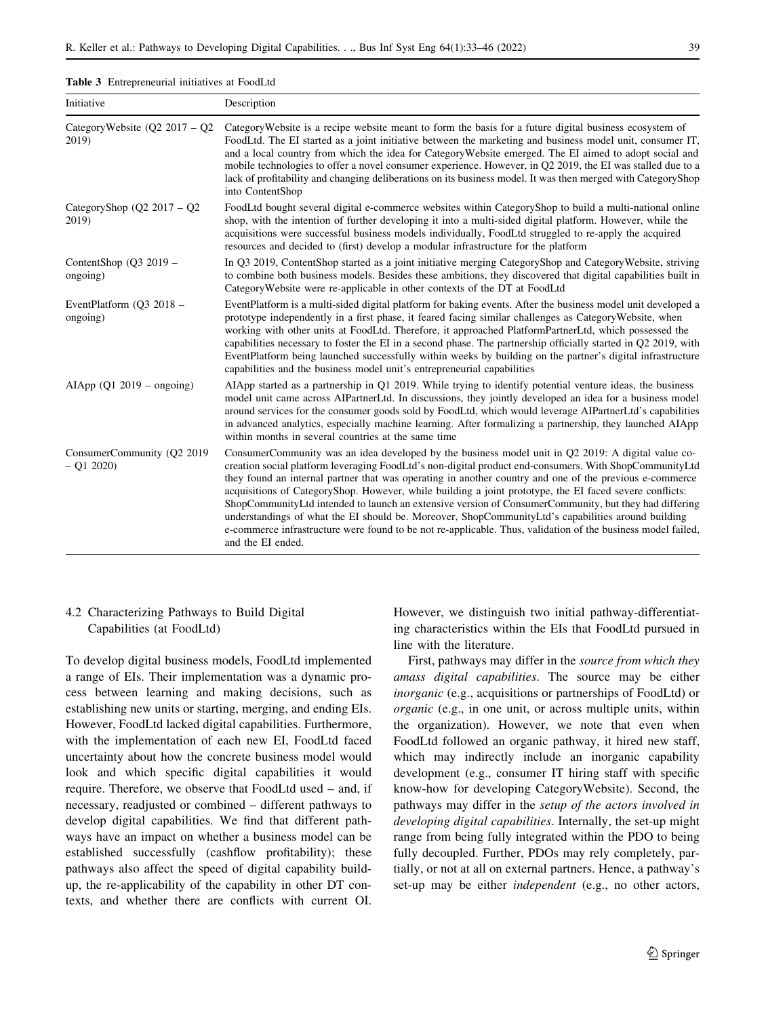<span id="page-6-0"></span>

|  | Table 3 Entrepreneurial initiatives at FoodLtd |  |  |  |
|--|------------------------------------------------|--|--|--|
|--|------------------------------------------------|--|--|--|

| Initiative                                  | Description                                                                                                                                                                                                                                                                                                                                                                                                                                                                                                                                                                                                                                                                                                                                                                            |
|---------------------------------------------|----------------------------------------------------------------------------------------------------------------------------------------------------------------------------------------------------------------------------------------------------------------------------------------------------------------------------------------------------------------------------------------------------------------------------------------------------------------------------------------------------------------------------------------------------------------------------------------------------------------------------------------------------------------------------------------------------------------------------------------------------------------------------------------|
| CategoryWebsite $(Q2 2017 - Q2)$<br>2019)   | Category Website is a recipe website meant to form the basis for a future digital business ecosystem of<br>FoodLtd. The EI started as a joint initiative between the marketing and business model unit, consumer IT,<br>and a local country from which the idea for Category Website emerged. The EI aimed to adopt social and<br>mobile technologies to offer a novel consumer experience. However, in Q2 2019, the EI was stalled due to a<br>lack of profitability and changing deliberations on its business model. It was then merged with CategoryShop<br>into ContentShop                                                                                                                                                                                                       |
| CategoryShop ( $Q2\ 2017 - Q2$ )<br>2019)   | FoodLtd bought several digital e-commerce websites within CategoryShop to build a multi-national online<br>shop, with the intention of further developing it into a multi-sided digital platform. However, while the<br>acquisitions were successful business models individually, FoodLtd struggled to re-apply the acquired<br>resources and decided to (first) develop a modular infrastructure for the platform                                                                                                                                                                                                                                                                                                                                                                    |
| ContentShop $(Q3 2019 -$<br>ongoing)        | In Q3 2019, ContentShop started as a joint initiative merging CategoryShop and CategoryWebsite, striving<br>to combine both business models. Besides these ambitions, they discovered that digital capabilities built in<br>CategoryWebsite were re-applicable in other contexts of the DT at FoodLtd                                                                                                                                                                                                                                                                                                                                                                                                                                                                                  |
| EventPlatform ( $Q3$ 2018 –<br>ongoing)     | EventPlatform is a multi-sided digital platform for baking events. After the business model unit developed a<br>prototype independently in a first phase, it feared facing similar challenges as CategoryWebsite, when<br>working with other units at FoodLtd. Therefore, it approached PlatformPartnerLtd, which possessed the<br>capabilities necessary to foster the EI in a second phase. The partnership officially started in Q2 2019, with<br>EventPlatform being launched successfully within weeks by building on the partner's digital infrastructure<br>capabilities and the business model unit's entrepreneurial capabilities                                                                                                                                             |
| AIApp $(Q1 2019 - ongoing)$                 | AIApp started as a partnership in Q1 2019. While trying to identify potential venture ideas, the business<br>model unit came across AIPartnerLtd. In discussions, they jointly developed an idea for a business model<br>around services for the consumer goods sold by FoodLtd, which would leverage AIPartnerLtd's capabilities<br>in advanced analytics, especially machine learning. After formalizing a partnership, they launched AIApp<br>within months in several countries at the same time                                                                                                                                                                                                                                                                                   |
| ConsumerCommunity (Q2 2019)<br>$-$ Q1 2020) | ConsumerCommunity was an idea developed by the business model unit in Q2 2019: A digital value co-<br>creation social platform leveraging FoodLtd's non-digital product end-consumers. With ShopCommunityLtd<br>they found an internal partner that was operating in another country and one of the previous e-commerce<br>acquisitions of CategoryShop. However, while building a joint prototype, the EI faced severe conflicts:<br>ShopCommunityLtd intended to launch an extensive version of ConsumerCommunity, but they had differing<br>understandings of what the EI should be. Moreover, ShopCommunityLtd's capabilities around building<br>e-commerce infrastructure were found to be not re-applicable. Thus, validation of the business model failed,<br>and the EI ended. |

## 4.2 Characterizing Pathways to Build Digital Capabilities (at FoodLtd)

To develop digital business models, FoodLtd implemented a range of EIs. Their implementation was a dynamic process between learning and making decisions, such as establishing new units or starting, merging, and ending EIs. However, FoodLtd lacked digital capabilities. Furthermore, with the implementation of each new EI, FoodLtd faced uncertainty about how the concrete business model would look and which specific digital capabilities it would require. Therefore, we observe that FoodLtd used – and, if necessary, readjusted or combined – different pathways to develop digital capabilities. We find that different pathways have an impact on whether a business model can be established successfully (cashflow profitability); these pathways also affect the speed of digital capability buildup, the re-applicability of the capability in other DT contexts, and whether there are conflicts with current OI.

However, we distinguish two initial pathway-differentiating characteristics within the EIs that FoodLtd pursued in line with the literature.

First, pathways may differ in the source from which they amass digital capabilities. The source may be either inorganic (e.g., acquisitions or partnerships of FoodLtd) or organic (e.g., in one unit, or across multiple units, within the organization). However, we note that even when FoodLtd followed an organic pathway, it hired new staff, which may indirectly include an inorganic capability development (e.g., consumer IT hiring staff with specific know-how for developing CategoryWebsite). Second, the pathways may differ in the setup of the actors involved in developing digital capabilities. Internally, the set-up might range from being fully integrated within the PDO to being fully decoupled. Further, PDOs may rely completely, partially, or not at all on external partners. Hence, a pathway's set-up may be either independent (e.g., no other actors,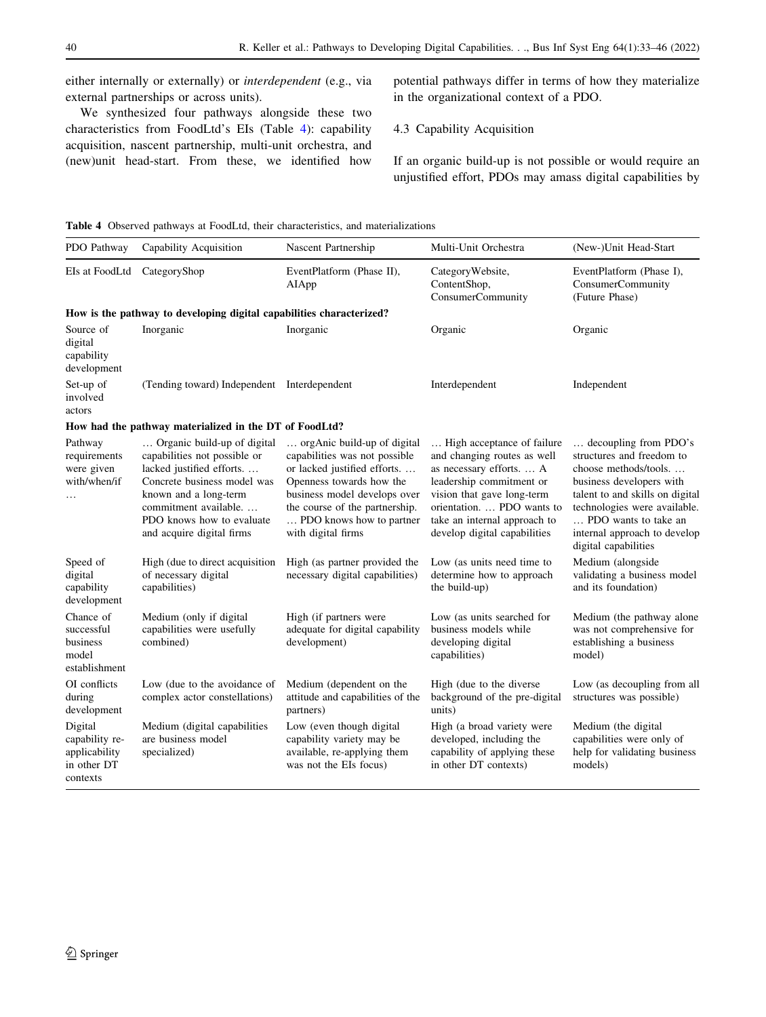either internally or externally) or interdependent (e.g., via external partnerships or across units).

We synthesized four pathways alongside these two characteristics from FoodLtd's EIs (Table 4): capability acquisition, nascent partnership, multi-unit orchestra, and (new)unit head-start. From these, we identified how potential pathways differ in terms of how they materialize in the organizational context of a PDO.

## 4.3 Capability Acquisition

If an organic build-up is not possible or would require an unjustified effort, PDOs may amass digital capabilities by

Table 4 Observed pathways at FoodLtd, their characteristics, and materializations

| PDO Pathway                                                           | Capability Acquisition                                                                                                                                                                                                            | Nascent Partnership                                                                                                                                                                                                                         | Multi-Unit Orchestra                                                                                                                                                                                                                          | (New-)Unit Head-Start                                                                                                                                                                                                                                     |
|-----------------------------------------------------------------------|-----------------------------------------------------------------------------------------------------------------------------------------------------------------------------------------------------------------------------------|---------------------------------------------------------------------------------------------------------------------------------------------------------------------------------------------------------------------------------------------|-----------------------------------------------------------------------------------------------------------------------------------------------------------------------------------------------------------------------------------------------|-----------------------------------------------------------------------------------------------------------------------------------------------------------------------------------------------------------------------------------------------------------|
| EIs at FoodLtd                                                        | CategoryShop                                                                                                                                                                                                                      | EventPlatform (Phase II),<br>AIApp                                                                                                                                                                                                          | CategoryWebsite,<br>ContentShop,<br>ConsumerCommunity                                                                                                                                                                                         | EventPlatform (Phase I),<br><b>ConsumerCommunity</b><br>(Future Phase)                                                                                                                                                                                    |
|                                                                       | How is the pathway to developing digital capabilities characterized?                                                                                                                                                              |                                                                                                                                                                                                                                             |                                                                                                                                                                                                                                               |                                                                                                                                                                                                                                                           |
| Source of<br>digital<br>capability<br>development                     | Inorganic                                                                                                                                                                                                                         | Inorganic                                                                                                                                                                                                                                   | Organic                                                                                                                                                                                                                                       | Organic                                                                                                                                                                                                                                                   |
| Set-up of<br>involved<br>actors                                       | (Tending toward) Independent Interdependent                                                                                                                                                                                       |                                                                                                                                                                                                                                             | Interdependent                                                                                                                                                                                                                                | Independent                                                                                                                                                                                                                                               |
|                                                                       | How had the pathway materialized in the DT of FoodLtd?                                                                                                                                                                            |                                                                                                                                                                                                                                             |                                                                                                                                                                                                                                               |                                                                                                                                                                                                                                                           |
| Pathway<br>requirements<br>were given<br>with/when/if                 | Organic build-up of digital<br>capabilities not possible or<br>lacked justified efforts<br>Concrete business model was<br>known and a long-term<br>commitment available<br>PDO knows how to evaluate<br>and acquire digital firms | orgAnic build-up of digital<br>capabilities was not possible<br>or lacked justified efforts<br>Openness towards how the<br>business model develops over<br>the course of the partnership.<br>PDO knows how to partner<br>with digital firms | High acceptance of failure<br>and changing routes as well<br>as necessary efforts.  A<br>leadership commitment or<br>vision that gave long-term<br>orientation.  PDO wants to<br>take an internal approach to<br>develop digital capabilities | decoupling from PDO's<br>structures and freedom to<br>choose methods/tools<br>business developers with<br>talent to and skills on digital<br>technologies were available.<br>PDO wants to take an<br>internal approach to develop<br>digital capabilities |
| Speed of<br>digital<br>capability<br>development                      | High (due to direct acquisition<br>of necessary digital<br>capabilities)                                                                                                                                                          | High (as partner provided the<br>necessary digital capabilities)                                                                                                                                                                            | Low (as units need time to<br>determine how to approach<br>the build-up)                                                                                                                                                                      | Medium (alongside<br>validating a business model<br>and its foundation)                                                                                                                                                                                   |
| Chance of<br>successful<br>business<br>model<br>establishment         | Medium (only if digital<br>capabilities were usefully<br>combined)                                                                                                                                                                | High (if partners were<br>adequate for digital capability<br>development)                                                                                                                                                                   | Low (as units searched for<br>business models while<br>developing digital<br>capabilities)                                                                                                                                                    | Medium (the pathway alone<br>was not comprehensive for<br>establishing a business<br>model)                                                                                                                                                               |
| OI conflicts<br>during<br>development                                 | Low (due to the avoidance of<br>complex actor constellations)                                                                                                                                                                     | Medium (dependent on the<br>attitude and capabilities of the<br>partners)                                                                                                                                                                   | High (due to the diverse<br>background of the pre-digital<br>units)                                                                                                                                                                           | Low (as decoupling from all<br>structures was possible)                                                                                                                                                                                                   |
| Digital<br>capability re-<br>applicability<br>in other DT<br>contexts | Medium (digital capabilities<br>are business model<br>specialized)                                                                                                                                                                | Low (even though digital<br>capability variety may be<br>available, re-applying them<br>was not the EIs focus)                                                                                                                              | High (a broad variety were<br>developed, including the<br>capability of applying these<br>in other DT contexts)                                                                                                                               | Medium (the digital<br>capabilities were only of<br>help for validating business<br>models)                                                                                                                                                               |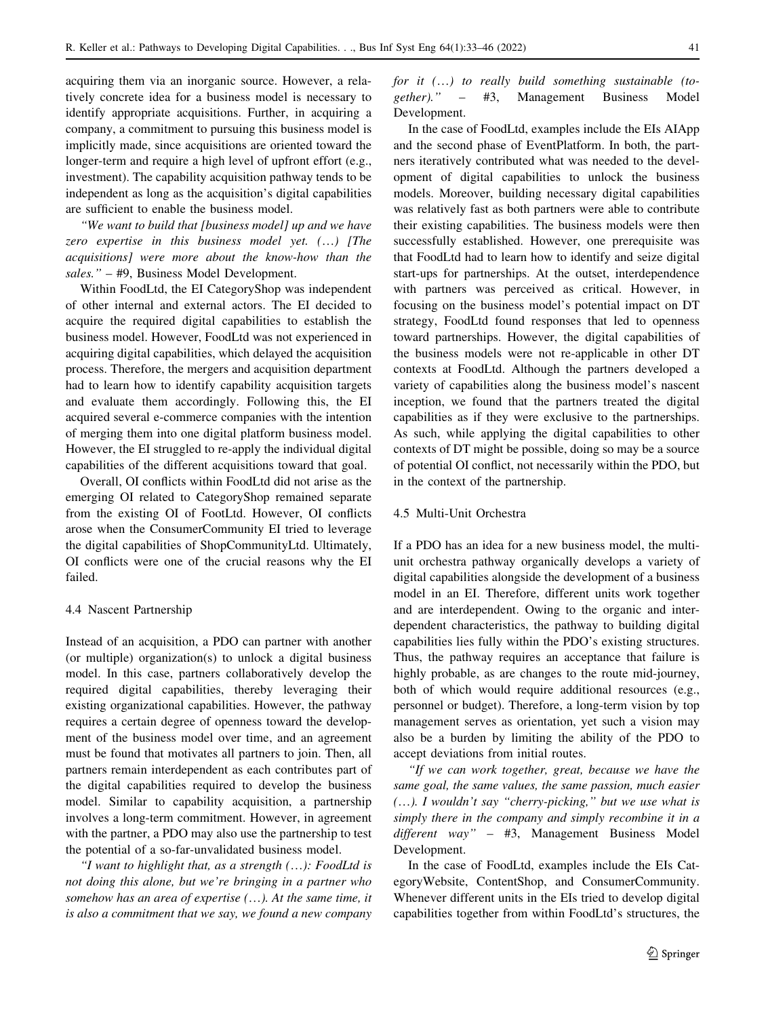acquiring them via an inorganic source. However, a relatively concrete idea for a business model is necessary to identify appropriate acquisitions. Further, in acquiring a company, a commitment to pursuing this business model is implicitly made, since acquisitions are oriented toward the longer-term and require a high level of upfront effort (e.g., investment). The capability acquisition pathway tends to be independent as long as the acquisition's digital capabilities are sufficient to enable the business model.

''We want to build that [business model] up and we have zero expertise in this business model yet. (…) [The acquisitions] were more about the know-how than the sales." – #9, Business Model Development.

Within FoodLtd, the EI CategoryShop was independent of other internal and external actors. The EI decided to acquire the required digital capabilities to establish the business model. However, FoodLtd was not experienced in acquiring digital capabilities, which delayed the acquisition process. Therefore, the mergers and acquisition department had to learn how to identify capability acquisition targets and evaluate them accordingly. Following this, the EI acquired several e-commerce companies with the intention of merging them into one digital platform business model. However, the EI struggled to re-apply the individual digital capabilities of the different acquisitions toward that goal.

Overall, OI conflicts within FoodLtd did not arise as the emerging OI related to CategoryShop remained separate from the existing OI of FootLtd. However, OI conflicts arose when the ConsumerCommunity EI tried to leverage the digital capabilities of ShopCommunityLtd. Ultimately, OI conflicts were one of the crucial reasons why the EI failed.

#### 4.4 Nascent Partnership

Instead of an acquisition, a PDO can partner with another (or multiple) organization(s) to unlock a digital business model. In this case, partners collaboratively develop the required digital capabilities, thereby leveraging their existing organizational capabilities. However, the pathway requires a certain degree of openness toward the development of the business model over time, and an agreement must be found that motivates all partners to join. Then, all partners remain interdependent as each contributes part of the digital capabilities required to develop the business model. Similar to capability acquisition, a partnership involves a long-term commitment. However, in agreement with the partner, a PDO may also use the partnership to test the potential of a so-far-unvalidated business model.

"I want to highlight that, as a strength  $(...)$ : FoodLtd is not doing this alone, but we're bringing in a partner who somehow has an area of expertise (…). At the same time, it is also a commitment that we say, we found a new company for it (…) to really build something sustainable (together).'' – #3, Management Business Model Development.

In the case of FoodLtd, examples include the EIs AIApp and the second phase of EventPlatform. In both, the partners iteratively contributed what was needed to the development of digital capabilities to unlock the business models. Moreover, building necessary digital capabilities was relatively fast as both partners were able to contribute their existing capabilities. The business models were then successfully established. However, one prerequisite was that FoodLtd had to learn how to identify and seize digital start-ups for partnerships. At the outset, interdependence with partners was perceived as critical. However, in focusing on the business model's potential impact on DT strategy, FoodLtd found responses that led to openness toward partnerships. However, the digital capabilities of the business models were not re-applicable in other DT contexts at FoodLtd. Although the partners developed a variety of capabilities along the business model's nascent inception, we found that the partners treated the digital capabilities as if they were exclusive to the partnerships. As such, while applying the digital capabilities to other contexts of DT might be possible, doing so may be a source of potential OI conflict, not necessarily within the PDO, but in the context of the partnership.

#### 4.5 Multi-Unit Orchestra

If a PDO has an idea for a new business model, the multiunit orchestra pathway organically develops a variety of digital capabilities alongside the development of a business model in an EI. Therefore, different units work together and are interdependent. Owing to the organic and interdependent characteristics, the pathway to building digital capabilities lies fully within the PDO's existing structures. Thus, the pathway requires an acceptance that failure is highly probable, as are changes to the route mid-journey, both of which would require additional resources (e.g., personnel or budget). Therefore, a long-term vision by top management serves as orientation, yet such a vision may also be a burden by limiting the ability of the PDO to accept deviations from initial routes.

''If we can work together, great, because we have the same goal, the same values, the same passion, much easier (…). I wouldn't say ''cherry-picking,'' but we use what is simply there in the company and simply recombine it in a different way" – #3, Management Business Model Development.

In the case of FoodLtd, examples include the EIs CategoryWebsite, ContentShop, and ConsumerCommunity. Whenever different units in the EIs tried to develop digital capabilities together from within FoodLtd's structures, the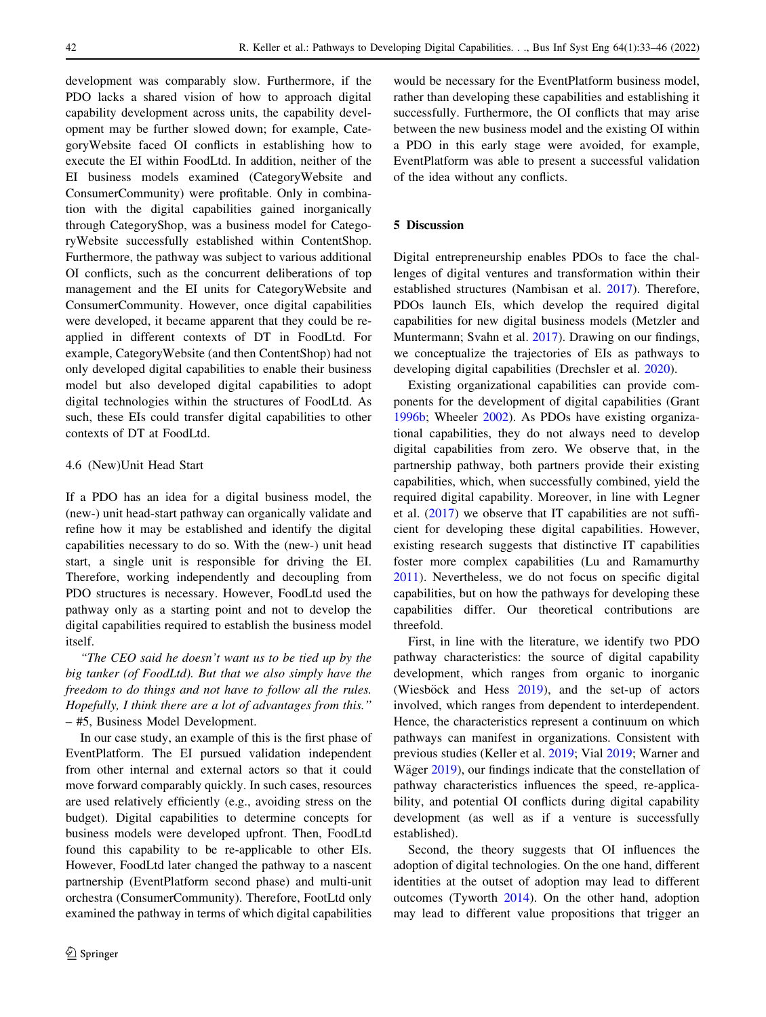development was comparably slow. Furthermore, if the PDO lacks a shared vision of how to approach digital capability development across units, the capability development may be further slowed down; for example, CategoryWebsite faced OI conflicts in establishing how to execute the EI within FoodLtd. In addition, neither of the EI business models examined (CategoryWebsite and ConsumerCommunity) were profitable. Only in combination with the digital capabilities gained inorganically through CategoryShop, was a business model for CategoryWebsite successfully established within ContentShop. Furthermore, the pathway was subject to various additional OI conflicts, such as the concurrent deliberations of top management and the EI units for CategoryWebsite and ConsumerCommunity. However, once digital capabilities were developed, it became apparent that they could be reapplied in different contexts of DT in FoodLtd. For example, CategoryWebsite (and then ContentShop) had not only developed digital capabilities to enable their business model but also developed digital capabilities to adopt digital technologies within the structures of FoodLtd. As such, these EIs could transfer digital capabilities to other contexts of DT at FoodLtd.

#### 4.6 (New)Unit Head Start

If a PDO has an idea for a digital business model, the (new-) unit head-start pathway can organically validate and refine how it may be established and identify the digital capabilities necessary to do so. With the (new-) unit head start, a single unit is responsible for driving the EI. Therefore, working independently and decoupling from PDO structures is necessary. However, FoodLtd used the pathway only as a starting point and not to develop the digital capabilities required to establish the business model itself.

"The CEO said he doesn't want us to be tied up by the big tanker (of FoodLtd). But that we also simply have the freedom to do things and not have to follow all the rules. Hopefully, I think there are a lot of advantages from this.'' – #5, Business Model Development.

In our case study, an example of this is the first phase of EventPlatform. The EI pursued validation independent from other internal and external actors so that it could move forward comparably quickly. In such cases, resources are used relatively efficiently (e.g., avoiding stress on the budget). Digital capabilities to determine concepts for business models were developed upfront. Then, FoodLtd found this capability to be re-applicable to other EIs. However, FoodLtd later changed the pathway to a nascent partnership (EventPlatform second phase) and multi-unit orchestra (ConsumerCommunity). Therefore, FootLtd only examined the pathway in terms of which digital capabilities

would be necessary for the EventPlatform business model, rather than developing these capabilities and establishing it successfully. Furthermore, the OI conflicts that may arise between the new business model and the existing OI within a PDO in this early stage were avoided, for example, EventPlatform was able to present a successful validation of the idea without any conflicts.

## 5 Discussion

Digital entrepreneurship enables PDOs to face the challenges of digital ventures and transformation within their established structures (Nambisan et al. [2017](#page-12-0)). Therefore, PDOs launch EIs, which develop the required digital capabilities for new digital business models (Metzler and Muntermann; Svahn et al. [2017](#page-12-0)). Drawing on our findings, we conceptualize the trajectories of EIs as pathways to developing digital capabilities (Drechsler et al. [2020](#page-11-0)).

Existing organizational capabilities can provide components for the development of digital capabilities (Grant [1996b](#page-11-0); Wheeler [2002\)](#page-13-0). As PDOs have existing organizational capabilities, they do not always need to develop digital capabilities from zero. We observe that, in the partnership pathway, both partners provide their existing capabilities, which, when successfully combined, yield the required digital capability. Moreover, in line with Legner et al. ([2017\)](#page-12-0) we observe that IT capabilities are not sufficient for developing these digital capabilities. However, existing research suggests that distinctive IT capabilities foster more complex capabilities (Lu and Ramamurthy [2011](#page-12-0)). Nevertheless, we do not focus on specific digital capabilities, but on how the pathways for developing these capabilities differ. Our theoretical contributions are threefold.

First, in line with the literature, we identify two PDO pathway characteristics: the source of digital capability development, which ranges from organic to inorganic (Wiesböck and Hess  $2019$ ), and the set-up of actors involved, which ranges from dependent to interdependent. Hence, the characteristics represent a continuum on which pathways can manifest in organizations. Consistent with previous studies (Keller et al. [2019;](#page-12-0) Vial [2019;](#page-13-0) Warner and Wäger [2019\)](#page-13-0), our findings indicate that the constellation of pathway characteristics influences the speed, re-applicability, and potential OI conflicts during digital capability development (as well as if a venture is successfully established).

Second, the theory suggests that OI influences the adoption of digital technologies. On the one hand, different identities at the outset of adoption may lead to different outcomes (Tyworth [2014\)](#page-13-0). On the other hand, adoption may lead to different value propositions that trigger an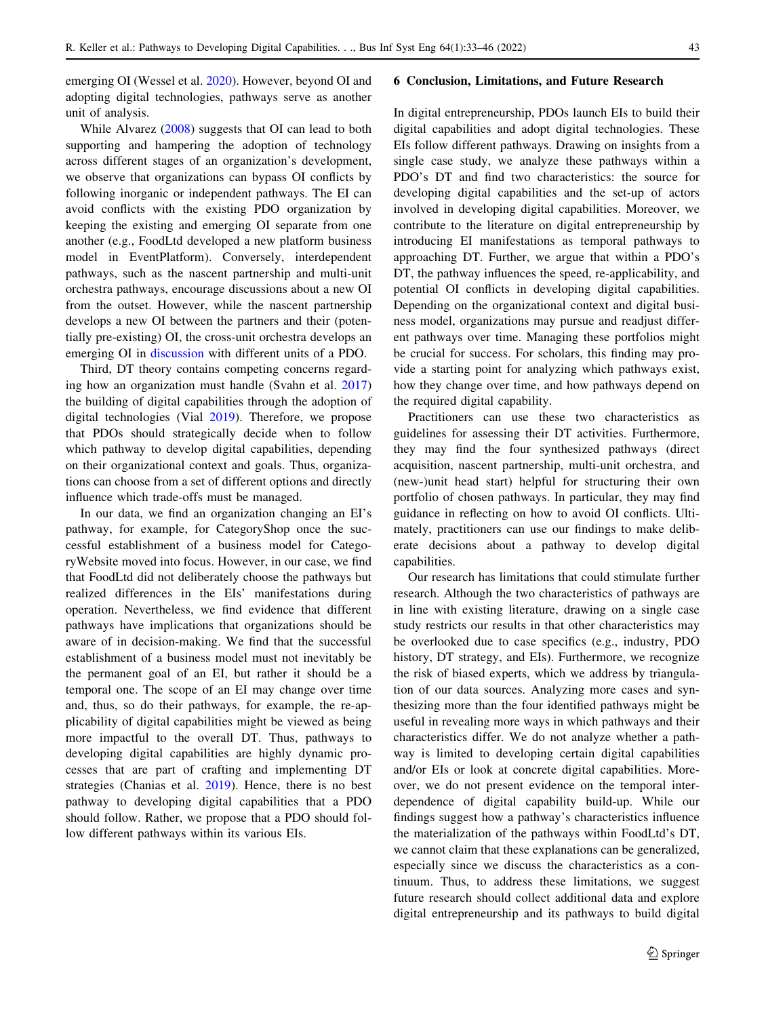emerging OI (Wessel et al. [2020](#page-13-0)). However, beyond OI and adopting digital technologies, pathways serve as another unit of analysis.

While Alvarez [\(2008](#page-11-0)) suggests that OI can lead to both supporting and hampering the adoption of technology across different stages of an organization's development, we observe that organizations can bypass OI conflicts by following inorganic or independent pathways. The EI can avoid conflicts with the existing PDO organization by keeping the existing and emerging OI separate from one another (e.g., FoodLtd developed a new platform business model in EventPlatform). Conversely, interdependent pathways, such as the nascent partnership and multi-unit orchestra pathways, encourage discussions about a new OI from the outset. However, while the nascent partnership develops a new OI between the partners and their (potentially pre-existing) OI, the cross-unit orchestra develops an emerging OI in discussion with different units of a PDO.

Third, DT theory contains competing concerns regarding how an organization must handle (Svahn et al. [2017\)](#page-12-0) the building of digital capabilities through the adoption of digital technologies (Vial [2019\)](#page-13-0). Therefore, we propose that PDOs should strategically decide when to follow which pathway to develop digital capabilities, depending on their organizational context and goals. Thus, organizations can choose from a set of different options and directly influence which trade-offs must be managed.

In our data, we find an organization changing an EI's pathway, for example, for CategoryShop once the successful establishment of a business model for CategoryWebsite moved into focus. However, in our case, we find that FoodLtd did not deliberately choose the pathways but realized differences in the EIs' manifestations during operation. Nevertheless, we find evidence that different pathways have implications that organizations should be aware of in decision-making. We find that the successful establishment of a business model must not inevitably be the permanent goal of an EI, but rather it should be a temporal one. The scope of an EI may change over time and, thus, so do their pathways, for example, the re-applicability of digital capabilities might be viewed as being more impactful to the overall DT. Thus, pathways to developing digital capabilities are highly dynamic processes that are part of crafting and implementing DT strategies (Chanias et al. [2019\)](#page-11-0). Hence, there is no best pathway to developing digital capabilities that a PDO should follow. Rather, we propose that a PDO should follow different pathways within its various EIs.

#### 6 Conclusion, Limitations, and Future Research

In digital entrepreneurship, PDOs launch EIs to build their digital capabilities and adopt digital technologies. These EIs follow different pathways. Drawing on insights from a single case study, we analyze these pathways within a PDO's DT and find two characteristics: the source for developing digital capabilities and the set-up of actors involved in developing digital capabilities. Moreover, we contribute to the literature on digital entrepreneurship by introducing EI manifestations as temporal pathways to approaching DT. Further, we argue that within a PDO's DT, the pathway influences the speed, re-applicability, and potential OI conflicts in developing digital capabilities. Depending on the organizational context and digital business model, organizations may pursue and readjust different pathways over time. Managing these portfolios might be crucial for success. For scholars, this finding may provide a starting point for analyzing which pathways exist, how they change over time, and how pathways depend on the required digital capability.

Practitioners can use these two characteristics as guidelines for assessing their DT activities. Furthermore, they may find the four synthesized pathways (direct acquisition, nascent partnership, multi-unit orchestra, and (new-)unit head start) helpful for structuring their own portfolio of chosen pathways. In particular, they may find guidance in reflecting on how to avoid OI conflicts. Ultimately, practitioners can use our findings to make deliberate decisions about a pathway to develop digital capabilities.

Our research has limitations that could stimulate further research. Although the two characteristics of pathways are in line with existing literature, drawing on a single case study restricts our results in that other characteristics may be overlooked due to case specifics (e.g., industry, PDO history, DT strategy, and EIs). Furthermore, we recognize the risk of biased experts, which we address by triangulation of our data sources. Analyzing more cases and synthesizing more than the four identified pathways might be useful in revealing more ways in which pathways and their characteristics differ. We do not analyze whether a pathway is limited to developing certain digital capabilities and/or EIs or look at concrete digital capabilities. Moreover, we do not present evidence on the temporal interdependence of digital capability build-up. While our findings suggest how a pathway's characteristics influence the materialization of the pathways within FoodLtd's DT, we cannot claim that these explanations can be generalized, especially since we discuss the characteristics as a continuum. Thus, to address these limitations, we suggest future research should collect additional data and explore digital entrepreneurship and its pathways to build digital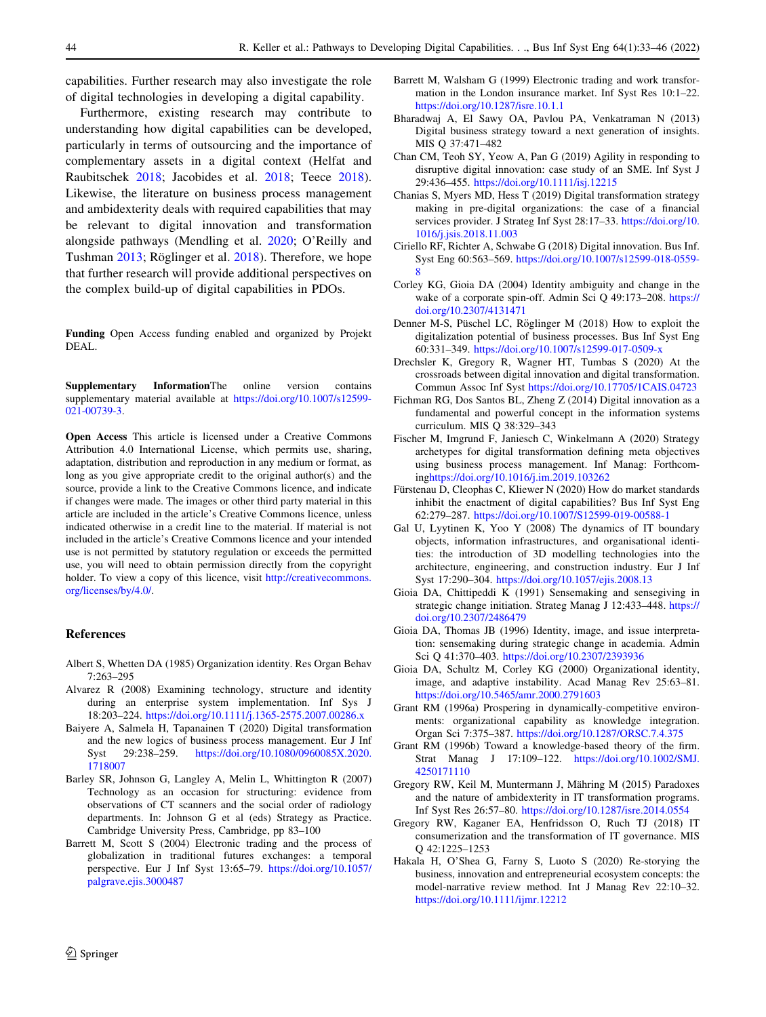<span id="page-11-0"></span>capabilities. Further research may also investigate the role of digital technologies in developing a digital capability.

Furthermore, existing research may contribute to understanding how digital capabilities can be developed, particularly in terms of outsourcing and the importance of complementary assets in a digital context (Helfat and Raubitschek [2018;](#page-12-0) Jacobides et al. [2018;](#page-12-0) Teece [2018](#page-12-0)). Likewise, the literature on business process management and ambidexterity deals with required capabilities that may be relevant to digital innovation and transformation alongside pathways (Mendling et al. [2020](#page-12-0); O'Reilly and Tushman [2013](#page-12-0); Röglinger et al. [2018\)](#page-12-0). Therefore, we hope that further research will provide additional perspectives on the complex build-up of digital capabilities in PDOs.

Funding Open Access funding enabled and organized by Projekt DEAL.

Supplementary InformationThe online version contains supplementary material available at [https://doi.org/10.1007/s12599-](https://doi.org/10.1007/s12599-021-00739-3) [021-00739-3.](https://doi.org/10.1007/s12599-021-00739-3)

Open Access This article is licensed under a Creative Commons Attribution 4.0 International License, which permits use, sharing, adaptation, distribution and reproduction in any medium or format, as long as you give appropriate credit to the original author(s) and the source, provide a link to the Creative Commons licence, and indicate if changes were made. The images or other third party material in this article are included in the article's Creative Commons licence, unless indicated otherwise in a credit line to the material. If material is not included in the article's Creative Commons licence and your intended use is not permitted by statutory regulation or exceeds the permitted use, you will need to obtain permission directly from the copyright holder. To view a copy of this licence, visit [http://creativecommons.](http://creativecommons.org/licenses/by/4.0/) [org/licenses/by/4.0/.](http://creativecommons.org/licenses/by/4.0/)

#### References

- Albert S, Whetten DA (1985) Organization identity. Res Organ Behav 7:263–295
- Alvarez R (2008) Examining technology, structure and identity during an enterprise system implementation. Inf Sys J 18:203–224. <https://doi.org/10.1111/j.1365-2575.2007.00286.x>
- Baiyere A, Salmela H, Tapanainen T (2020) Digital transformation and the new logics of business process management. Eur J Inf Syst 29:238–259. [https://doi.org/10.1080/0960085X.2020.](https://doi.org/10.1080/0960085X.2020.1718007) [1718007](https://doi.org/10.1080/0960085X.2020.1718007)
- Barley SR, Johnson G, Langley A, Melin L, Whittington R (2007) Technology as an occasion for structuring: evidence from observations of CT scanners and the social order of radiology departments. In: Johnson G et al (eds) Strategy as Practice. Cambridge University Press, Cambridge, pp 83–100
- Barrett M, Scott S (2004) Electronic trading and the process of globalization in traditional futures exchanges: a temporal perspective. Eur J Inf Syst 13:65–79. [https://doi.org/10.1057/](https://doi.org/10.1057/palgrave.ejis.3000487) [palgrave.ejis.3000487](https://doi.org/10.1057/palgrave.ejis.3000487)
- Barrett M, Walsham G (1999) Electronic trading and work transformation in the London insurance market. Inf Syst Res 10:1–22. <https://doi.org/10.1287/isre.10.1.1>
- Bharadwaj A, El Sawy OA, Pavlou PA, Venkatraman N (2013) Digital business strategy toward a next generation of insights. MIS Q 37:471–482
- Chan CM, Teoh SY, Yeow A, Pan G (2019) Agility in responding to disruptive digital innovation: case study of an SME. Inf Syst J 29:436–455. <https://doi.org/10.1111/isj.12215>
- Chanias S, Myers MD, Hess T (2019) Digital transformation strategy making in pre-digital organizations: the case of a financial services provider. J Strateg Inf Syst 28:17–33. [https://doi.org/10.](https://doi.org/10.1016/j.jsis.2018.11.003) [1016/j.jsis.2018.11.003](https://doi.org/10.1016/j.jsis.2018.11.003)
- Ciriello RF, Richter A, Schwabe G (2018) Digital innovation. Bus Inf. Syst Eng 60:563–569. [https://doi.org/10.1007/s12599-018-0559-](https://doi.org/10.1007/s12599-018-0559-8) [8](https://doi.org/10.1007/s12599-018-0559-8)
- Corley KG, Gioia DA (2004) Identity ambiguity and change in the wake of a corporate spin-off. Admin Sci Q 49:173–208. [https://](https://doi.org/10.2307/4131471) [doi.org/10.2307/4131471](https://doi.org/10.2307/4131471)
- Denner M-S, Püschel LC, Röglinger M (2018) How to exploit the digitalization potential of business processes. Bus Inf Syst Eng 60:331–349. <https://doi.org/10.1007/s12599-017-0509-x>
- Drechsler K, Gregory R, Wagner HT, Tumbas S (2020) At the crossroads between digital innovation and digital transformation. Commun Assoc Inf Syst <https://doi.org/10.17705/1CAIS.04723>
- Fichman RG, Dos Santos BL, Zheng Z (2014) Digital innovation as a fundamental and powerful concept in the information systems curriculum. MIS Q 38:329–343
- Fischer M, Imgrund F, Janiesch C, Winkelmann A (2020) Strategy archetypes for digital transformation defining meta objectives using business process management. Inf Manag: Forthcoming<https://doi.org/10.1016/j.im.2019.103262>
- Fürstenau D, Cleophas C, Kliewer N (2020) How do market standards inhibit the enactment of digital capabilities? Bus Inf Syst Eng 62:279–287. <https://doi.org/10.1007/S12599-019-00588-1>
- Gal U, Lyytinen K, Yoo Y (2008) The dynamics of IT boundary objects, information infrastructures, and organisational identities: the introduction of 3D modelling technologies into the architecture, engineering, and construction industry. Eur J Inf Syst 17:290–304. <https://doi.org/10.1057/ejis.2008.13>
- Gioia DA, Chittipeddi K (1991) Sensemaking and sensegiving in strategic change initiation. Strateg Manag J 12:433–448. [https://](https://doi.org/10.2307/2486479) [doi.org/10.2307/2486479](https://doi.org/10.2307/2486479)
- Gioia DA, Thomas JB (1996) Identity, image, and issue interpretation: sensemaking during strategic change in academia. Admin Sci Q 41:370–403. <https://doi.org/10.2307/2393936>
- Gioia DA, Schultz M, Corley KG (2000) Organizational identity, image, and adaptive instability. Acad Manag Rev 25:63–81. <https://doi.org/10.5465/amr.2000.2791603>
- Grant RM (1996a) Prospering in dynamically-competitive environments: organizational capability as knowledge integration. Organ Sci 7:375–387. <https://doi.org/10.1287/ORSC.7.4.375>
- Grant RM (1996b) Toward a knowledge-based theory of the firm. Strat Manag J 17:109–122. [https://doi.org/10.1002/SMJ.](https://doi.org/10.1002/SMJ.4250171110) [4250171110](https://doi.org/10.1002/SMJ.4250171110)
- Gregory RW, Keil M, Muntermann J, Mähring M (2015) Paradoxes and the nature of ambidexterity in IT transformation programs. Inf Syst Res 26:57–80. <https://doi.org/10.1287/isre.2014.0554>
- Gregory RW, Kaganer EA, Henfridsson O, Ruch TJ (2018) IT consumerization and the transformation of IT governance. MIS Q 42:1225–1253
- Hakala H, O'Shea G, Farny S, Luoto S (2020) Re-storying the business, innovation and entrepreneurial ecosystem concepts: the model-narrative review method. Int J Manag Rev 22:10–32. <https://doi.org/10.1111/ijmr.12212>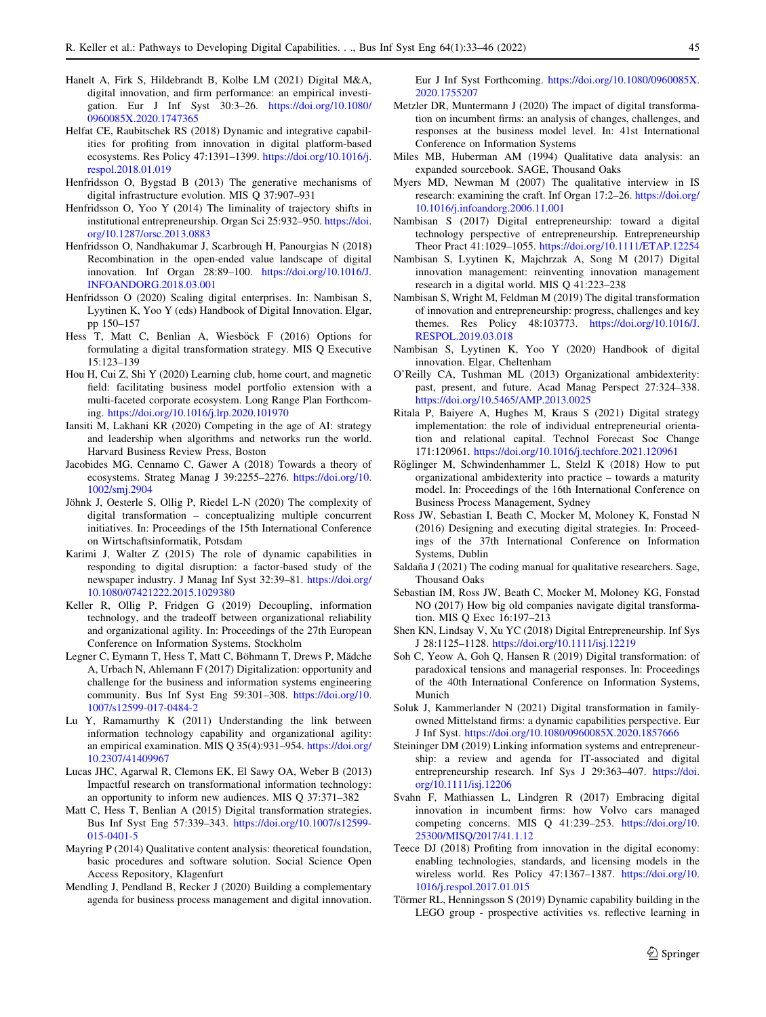- <span id="page-12-0"></span>Hanelt A, Firk S, Hildebrandt B, Kolbe LM (2021) Digital M&A, digital innovation, and firm performance: an empirical investigation. Eur J Inf Syst 30:3–26. [https://doi.org/10.1080/](https://doi.org/10.1080/0960085X.2020.1747365) [0960085X.2020.1747365](https://doi.org/10.1080/0960085X.2020.1747365)
- Helfat CE, Raubitschek RS (2018) Dynamic and integrative capabilities for profiting from innovation in digital platform-based ecosystems. Res Policy 47:1391–1399. [https://doi.org/10.1016/j.](https://doi.org/10.1016/j.respol.2018.01.019) [respol.2018.01.019](https://doi.org/10.1016/j.respol.2018.01.019)
- Henfridsson O, Bygstad B (2013) The generative mechanisms of digital infrastructure evolution. MIS Q 37:907–931
- Henfridsson O, Yoo Y (2014) The liminality of trajectory shifts in institutional entrepreneurship. Organ Sci 25:932–950. [https://doi.](https://doi.org/10.1287/orsc.2013.0883) [org/10.1287/orsc.2013.0883](https://doi.org/10.1287/orsc.2013.0883)
- Henfridsson O, Nandhakumar J, Scarbrough H, Panourgias N (2018) Recombination in the open-ended value landscape of digital innovation. Inf Organ 28:89–100. [https://doi.org/10.1016/J.](https://doi.org/10.1016/J.INFOANDORG.2018.03.001) [INFOANDORG.2018.03.001](https://doi.org/10.1016/J.INFOANDORG.2018.03.001)
- Henfridsson O (2020) Scaling digital enterprises. In: Nambisan S, Lyytinen K, Yoo Y (eds) Handbook of Digital Innovation. Elgar, pp 150–157
- Hess T, Matt C, Benlian A, Wiesböck F (2016) Options for formulating a digital transformation strategy. MIS Q Executive 15:123–139
- Hou H, Cui Z, Shi Y (2020) Learning club, home court, and magnetic field: facilitating business model portfolio extension with a multi-faceted corporate ecosystem. Long Range Plan Forthcoming. <https://doi.org/10.1016/j.lrp.2020.101970>
- Iansiti M, Lakhani KR (2020) Competing in the age of AI: strategy and leadership when algorithms and networks run the world. Harvard Business Review Press, Boston
- Jacobides MG, Cennamo C, Gawer A (2018) Towards a theory of ecosystems. Strateg Manag J 39:2255–2276. [https://doi.org/10.](https://doi.org/10.1002/smj.2904) [1002/smj.2904](https://doi.org/10.1002/smj.2904)
- Jöhnk J, Oesterle S, Ollig P, Riedel L-N (2020) The complexity of digital transformation – conceptualizing multiple concurrent initiatives. In: Proceedings of the 15th International Conference on Wirtschaftsinformatik, Potsdam
- Karimi J, Walter Z (2015) The role of dynamic capabilities in responding to digital disruption: a factor-based study of the newspaper industry. J Manag Inf Syst 32:39–81. [https://doi.org/](https://doi.org/10.1080/07421222.2015.1029380) [10.1080/07421222.2015.1029380](https://doi.org/10.1080/07421222.2015.1029380)
- Keller R, Ollig P, Fridgen G (2019) Decoupling, information technology, and the tradeoff between organizational reliability and organizational agility. In: Proceedings of the 27th European Conference on Information Systems, Stockholm
- Legner C, Eymann T, Hess T, Matt C, Böhmann T, Drews P, Mädche A, Urbach N, Ahlemann F (2017) Digitalization: opportunity and challenge for the business and information systems engineering community. Bus Inf Syst Eng 59:301–308. [https://doi.org/10.](https://doi.org/10.1007/s12599-017-0484-2) [1007/s12599-017-0484-2](https://doi.org/10.1007/s12599-017-0484-2)
- Lu Y, Ramamurthy K (2011) Understanding the link between information technology capability and organizational agility: an empirical examination. MIS Q 35(4):931–954. [https://doi.org/](https://doi.org/10.2307/41409967) [10.2307/41409967](https://doi.org/10.2307/41409967)
- Lucas JHC, Agarwal R, Clemons EK, El Sawy OA, Weber B (2013) Impactful research on transformational information technology: an opportunity to inform new audiences. MIS Q 37:371–382
- Matt C, Hess T, Benlian A (2015) Digital transformation strategies. Bus Inf Syst Eng 57:339–343. [https://doi.org/10.1007/s12599-](https://doi.org/10.1007/s12599-015-0401-5) [015-0401-5](https://doi.org/10.1007/s12599-015-0401-5)
- Mayring P (2014) Qualitative content analysis: theoretical foundation, basic procedures and software solution. Social Science Open Access Repository, Klagenfurt
- Mendling J, Pendland B, Recker J (2020) Building a complementary agenda for business process management and digital innovation.

Eur J Inf Syst Forthcoming. [https://doi.org/10.1080/0960085X.](https://doi.org/10.1080/0960085X.2020.1755207) [2020.1755207](https://doi.org/10.1080/0960085X.2020.1755207)

- Metzler DR, Muntermann J (2020) The impact of digital transformation on incumbent firms: an analysis of changes, challenges, and responses at the business model level. In: 41st International Conference on Information Systems
- Miles MB, Huberman AM (1994) Qualitative data analysis: an expanded sourcebook. SAGE, Thousand Oaks
- Myers MD, Newman M (2007) The qualitative interview in IS research: examining the craft. Inf Organ 17:2–26. [https://doi.org/](https://doi.org/10.1016/j.infoandorg.2006.11.001) [10.1016/j.infoandorg.2006.11.001](https://doi.org/10.1016/j.infoandorg.2006.11.001)
- Nambisan S (2017) Digital entrepreneurship: toward a digital technology perspective of entrepreneurship. Entrepreneurship Theor Pract 41:1029–1055. <https://doi.org/10.1111/ETAP.12254>
- Nambisan S, Lyytinen K, Majchrzak A, Song M (2017) Digital innovation management: reinventing innovation management research in a digital world. MIS Q 41:223–238
- Nambisan S, Wright M, Feldman M (2019) The digital transformation of innovation and entrepreneurship: progress, challenges and key themes. Res Policy 48:103773. [https://doi.org/10.1016/J.](https://doi.org/10.1016/J.RESPOL.2019.03.018) [RESPOL.2019.03.018](https://doi.org/10.1016/J.RESPOL.2019.03.018)
- Nambisan S, Lyytinen K, Yoo Y (2020) Handbook of digital innovation. Elgar, Cheltenham
- O'Reilly CA, Tushman ML (2013) Organizational ambidexterity: past, present, and future. Acad Manag Perspect 27:324–338. <https://doi.org/10.5465/AMP.2013.0025>
- Ritala P, Baiyere A, Hughes M, Kraus S (2021) Digital strategy implementation: the role of individual entrepreneurial orientation and relational capital. Technol Forecast Soc Change 171:120961. <https://doi.org/10.1016/j.techfore.2021.120961>
- Röglinger M, Schwindenhammer L, Stelzl K (2018) How to put organizational ambidexterity into practice – towards a maturity model. In: Proceedings of the 16th International Conference on Business Process Management, Sydney
- Ross JW, Sebastian I, Beath C, Mocker M, Moloney K, Fonstad N (2016) Designing and executing digital strategies. In: Proceedings of the 37th International Conference on Information Systems, Dublin
- Saldaña J (2021) The coding manual for qualitative researchers. Sage, Thousand Oaks
- Sebastian IM, Ross JW, Beath C, Mocker M, Moloney KG, Fonstad NO (2017) How big old companies navigate digital transformation. MIS Q Exec 16:197–213
- Shen KN, Lindsay V, Xu YC (2018) Digital Entrepreneurship. Inf Sys J 28:1125–1128. <https://doi.org/10.1111/isj.12219>
- Soh C, Yeow A, Goh Q, Hansen R (2019) Digital transformation: of paradoxical tensions and managerial responses. In: Proceedings of the 40th International Conference on Information Systems, Munich
- Soluk J, Kammerlander N (2021) Digital transformation in familyowned Mittelstand firms: a dynamic capabilities perspective. Eur J Inf Syst. <https://doi.org/10.1080/0960085X.2020.1857666>
- Steininger DM (2019) Linking information systems and entrepreneurship: a review and agenda for IT-associated and digital entrepreneurship research. Inf Sys J 29:363–407. [https://doi.](https://doi.org/10.1111/isj.12206) [org/10.1111/isj.12206](https://doi.org/10.1111/isj.12206)
- Svahn F, Mathiassen L, Lindgren R (2017) Embracing digital innovation in incumbent firms: how Volvo cars managed competing concerns. MIS Q 41:239–253. [https://doi.org/10.](https://doi.org/10.25300/MISQ/2017/41.1.12) [25300/MISQ/2017/41.1.12](https://doi.org/10.25300/MISQ/2017/41.1.12)
- Teece DJ (2018) Profiting from innovation in the digital economy: enabling technologies, standards, and licensing models in the wireless world. Res Policy 47:1367–1387. [https://doi.org/10.](https://doi.org/10.1016/j.respol.2017.01.015) [1016/j.respol.2017.01.015](https://doi.org/10.1016/j.respol.2017.01.015)
- Törmer RL, Henningsson S (2019) Dynamic capability building in the LEGO group - prospective activities vs. reflective learning in